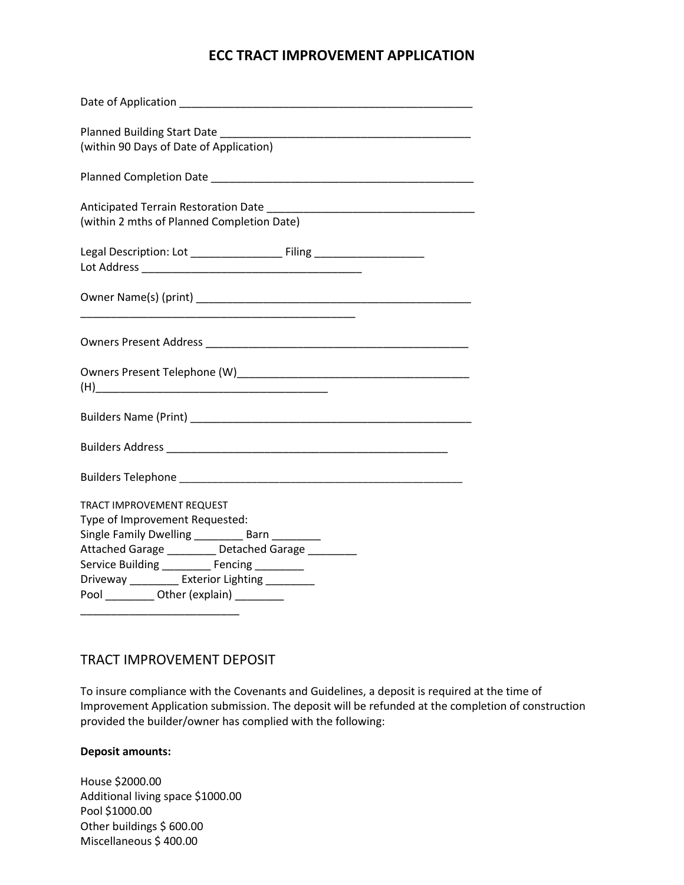## **ECC TRACT IMPROVEMENT APPLICATION**

| (within 90 Days of Date of Application)                                                                                                                                                                                                                                                                                |
|------------------------------------------------------------------------------------------------------------------------------------------------------------------------------------------------------------------------------------------------------------------------------------------------------------------------|
|                                                                                                                                                                                                                                                                                                                        |
| (within 2 mths of Planned Completion Date)                                                                                                                                                                                                                                                                             |
|                                                                                                                                                                                                                                                                                                                        |
|                                                                                                                                                                                                                                                                                                                        |
|                                                                                                                                                                                                                                                                                                                        |
|                                                                                                                                                                                                                                                                                                                        |
|                                                                                                                                                                                                                                                                                                                        |
|                                                                                                                                                                                                                                                                                                                        |
|                                                                                                                                                                                                                                                                                                                        |
| TRACT IMPROVEMENT REQUEST<br>Type of Improvement Requested:<br>Single Family Dwelling ___________ Barn _________<br>Attached Garage _________ Detached Garage ________<br>Service Building ___________ Fencing _________<br>Driveway ________ Exterior Lighting ________<br>Pool ___________ Other (explain) _________ |
|                                                                                                                                                                                                                                                                                                                        |

### TRACT IMPROVEMENT DEPOSIT

To insure compliance with the Covenants and Guidelines, a deposit is required at the time of Improvement Application submission. The deposit will be refunded at the completion of construction provided the builder/owner has complied with the following:

#### **Deposit amounts:**

House \$2000.00 Additional living space \$1000.00 Pool \$1000.00 Other buildings \$ 600.00 Miscellaneous \$ 400.00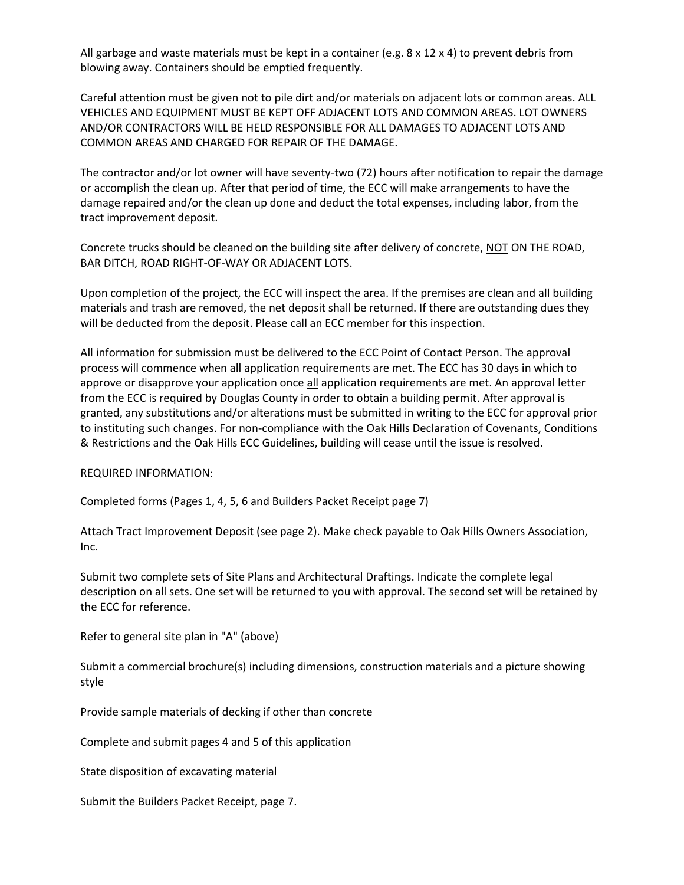All garbage and waste materials must be kept in a container (e.g.  $8 \times 12 \times 4$ ) to prevent debris from blowing away. Containers should be emptied frequently.

Careful attention must be given not to pile dirt and/or materials on adjacent lots or common areas. ALL VEHICLES AND EQUIPMENT MUST BE KEPT OFF ADJACENT LOTS AND COMMON AREAS. LOT OWNERS AND/OR CONTRACTORS WILL BE HELD RESPONSIBLE FOR ALL DAMAGES TO ADJACENT LOTS AND COMMON AREAS AND CHARGED FOR REPAIR OF THE DAMAGE.

The contractor and/or lot owner will have seventy-two (72) hours after notification to repair the damage or accomplish the clean up. After that period of time, the ECC will make arrangements to have the damage repaired and/or the clean up done and deduct the total expenses, including labor, from the tract improvement deposit.

Concrete trucks should be cleaned on the building site after delivery of concrete, NOT ON THE ROAD, BAR DITCH, ROAD RIGHT-OF-WAY OR ADJACENT LOTS.

Upon completion of the project, the ECC will inspect the area. If the premises are clean and all building materials and trash are removed, the net deposit shall be returned. If there are outstanding dues they will be deducted from the deposit. Please call an ECC member for this inspection.

All information for submission must be delivered to the ECC Point of Contact Person. The approval process will commence when all application requirements are met. The ECC has 30 days in which to approve or disapprove your application once all application requirements are met. An approval letter from the ECC is required by Douglas County in order to obtain a building permit. After approval is granted, any substitutions and/or alterations must be submitted in writing to the ECC for approval prior to instituting such changes. For non-compliance with the Oak Hills Declaration of Covenants, Conditions & Restrictions and the Oak Hills ECC Guidelines, building will cease until the issue is resolved.

REQUIRED INFORMATION:

Completed forms (Pages 1, 4, 5, 6 and Builders Packet Receipt page 7)

Attach Tract Improvement Deposit (see page 2). Make check payable to Oak Hills Owners Association, Inc.

Submit two complete sets of Site Plans and Architectural Draftings. Indicate the complete legal description on all sets. One set will be returned to you with approval. The second set will be retained by the ECC for reference.

Refer to general site plan in "A" (above)

Submit a commercial brochure(s) including dimensions, construction materials and a picture showing style

Provide sample materials of decking if other than concrete

Complete and submit pages 4 and 5 of this application

State disposition of excavating material

Submit the Builders Packet Receipt, page 7.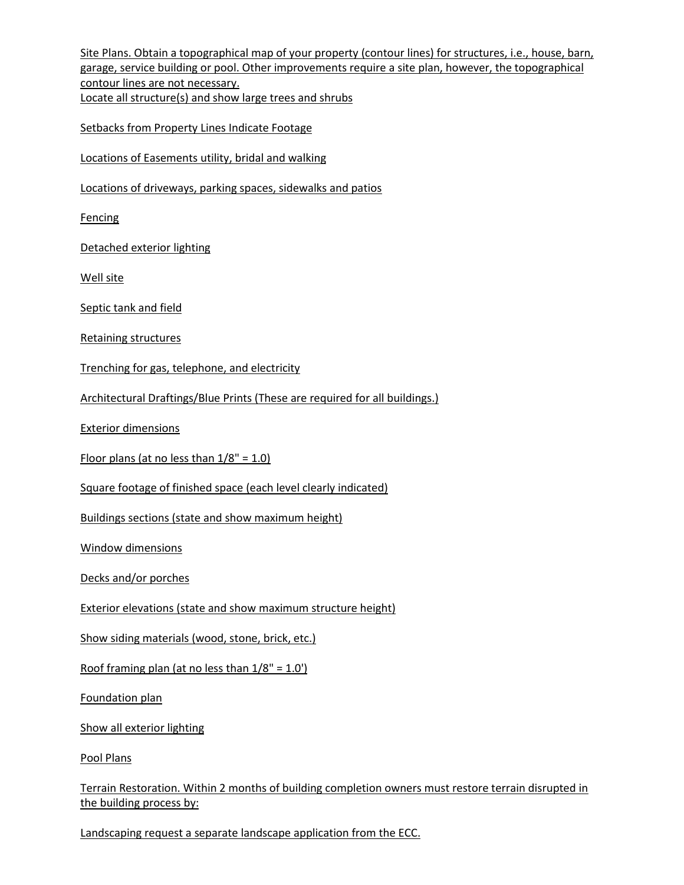Site Plans. Obtain a topographical map of your property (contour lines) for structures, i.e., house, barn, garage, service building or pool. Other improvements require a site plan, however, the topographical contour lines are not necessary. Locate all structure(s) and show large trees and shrubs Setbacks from Property Lines Indicate Footage Locations of Easements utility, bridal and walking Locations of driveways, parking spaces, sidewalks and patios Fencing Detached exterior lighting Well site Septic tank and field Retaining structures Trenching for gas, telephone, and electricity Architectural Draftings/Blue Prints (These are required for all buildings.) Exterior dimensions Floor plans (at no less than  $1/8" = 1.0$ ) Square footage of finished space (each level clearly indicated) Buildings sections (state and show maximum height) Window dimensions Decks and/or porches Exterior elevations (state and show maximum structure height) Show siding materials (wood, stone, brick, etc.) Roof framing plan (at no less than  $1/8$ " =  $1.0$ ") Foundation plan Show all exterior lighting Pool Plans Terrain Restoration. Within 2 months of building completion owners must restore terrain disrupted in the building process by:

Landscaping request a separate landscape application from the ECC.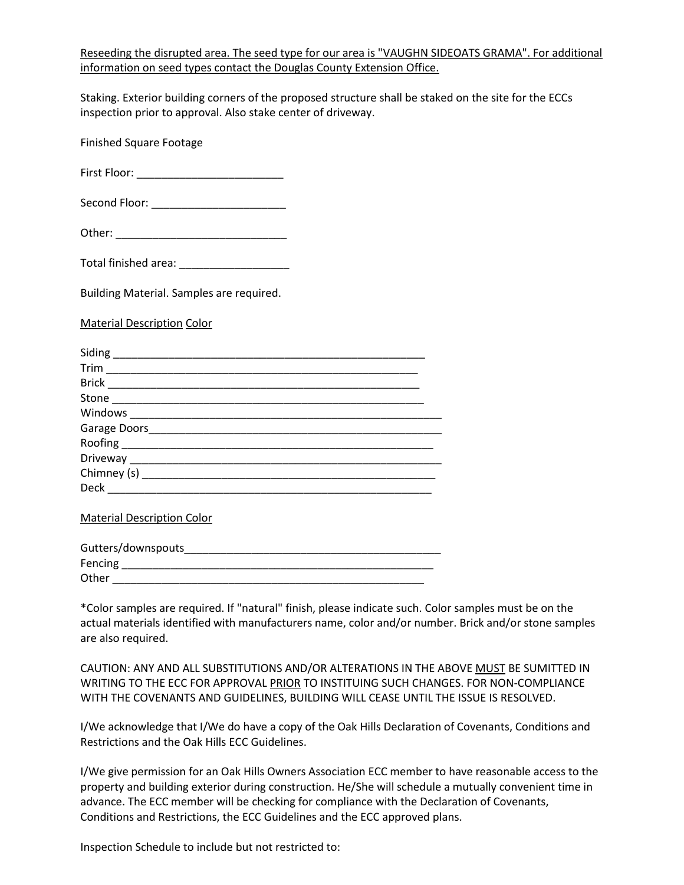Reseeding the disrupted area. The seed type for our area is "VAUGHN SIDEOATS GRAMA". For additional information on seed types contact the Douglas County Extension Office.

Staking. Exterior building corners of the proposed structure shall be staked on the site for the ECCs inspection prior to approval. Also stake center of driveway.

Finished Square Footage

First Floor: \_\_\_\_\_\_\_\_\_\_\_\_\_\_\_\_\_\_\_\_\_\_\_\_

Second Floor: \_\_\_\_\_\_\_\_\_\_\_\_\_\_\_\_\_\_\_\_\_\_\_\_\_\_\_\_\_

Other: \_\_\_\_\_\_\_\_\_\_\_\_\_\_\_\_\_\_\_\_\_\_\_\_\_\_\_\_

Total finished area: \_\_\_\_\_\_\_\_\_\_\_\_\_\_\_\_\_\_

Building Material. Samples are required.

Material Description Color

| Trim                                 |  |
|--------------------------------------|--|
|                                      |  |
|                                      |  |
|                                      |  |
|                                      |  |
|                                      |  |
|                                      |  |
| Chimney (s) ________________________ |  |
| Deck                                 |  |

Material Description Color

| Gutters/downspouts |  |
|--------------------|--|
| Fencing            |  |
| Other              |  |

\*Color samples are required. If "natural" finish, please indicate such. Color samples must be on the actual materials identified with manufacturers name, color and/or number. Brick and/or stone samples are also required.

CAUTION: ANY AND ALL SUBSTITUTIONS AND/OR ALTERATIONS IN THE ABOVE MUST BE SUMITTED IN WRITING TO THE ECC FOR APPROVAL PRIOR TO INSTITUING SUCH CHANGES. FOR NON-COMPLIANCE WITH THE COVENANTS AND GUIDELINES, BUILDING WILL CEASE UNTIL THE ISSUE IS RESOLVED.

I/We acknowledge that I/We do have a copy of the Oak Hills Declaration of Covenants, Conditions and Restrictions and the Oak Hills ECC Guidelines.

I/We give permission for an Oak Hills Owners Association ECC member to have reasonable access to the property and building exterior during construction. He/She will schedule a mutually convenient time in advance. The ECC member will be checking for compliance with the Declaration of Covenants, Conditions and Restrictions, the ECC Guidelines and the ECC approved plans.

Inspection Schedule to include but not restricted to: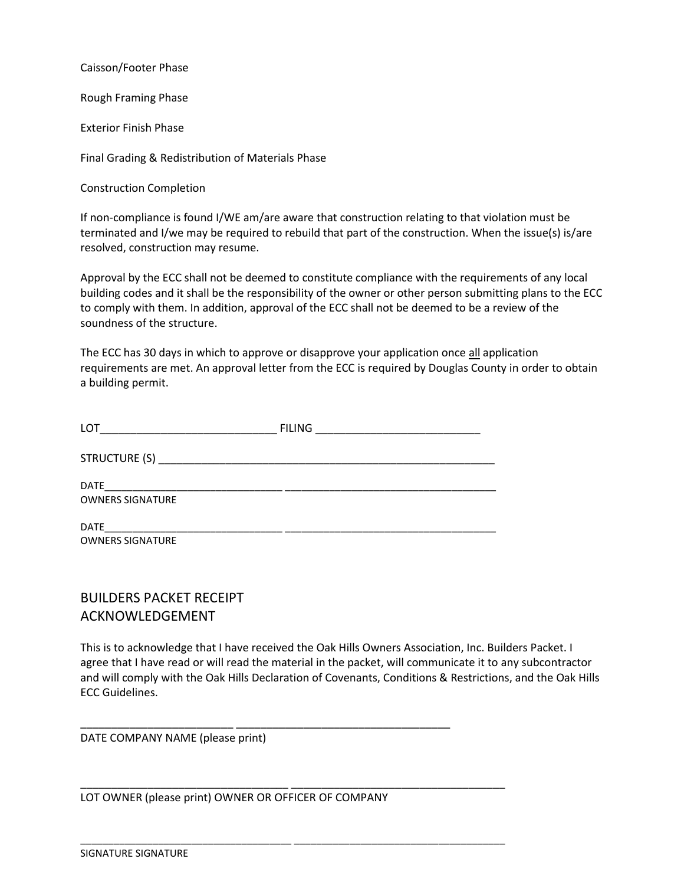Caisson/Footer Phase

Rough Framing Phase

Exterior Finish Phase

Final Grading & Redistribution of Materials Phase

Construction Completion

If non-compliance is found I/WE am/are aware that construction relating to that violation must be terminated and I/we may be required to rebuild that part of the construction. When the issue(s) is/are resolved, construction may resume.

Approval by the ECC shall not be deemed to constitute compliance with the requirements of any local building codes and it shall be the responsibility of the owner or other person submitting plans to the ECC to comply with them. In addition, approval of the ECC shall not be deemed to be a review of the soundness of the structure.

The ECC has 30 days in which to approve or disapprove your application once all application requirements are met. An approval letter from the ECC is required by Douglas County in order to obtain a building permit.

| LOT<br><u> 1989 - Johann John Harry Harry Harry Harry Harry Harry Harry Harry Harry Harry Harry Harry Harry Harry Harry H</u> | <b>FILING</b> |  |
|-------------------------------------------------------------------------------------------------------------------------------|---------------|--|
|                                                                                                                               |               |  |
| <b>DATE</b><br><b>OWNERS SIGNATURE</b>                                                                                        |               |  |
| <b>DATE</b>                                                                                                                   |               |  |
| <b>OWNERS SIGNATURE</b>                                                                                                       |               |  |

# BUILDERS PACKET RECEIPT ACKNOWLEDGEMENT

This is to acknowledge that I have received the Oak Hills Owners Association, Inc. Builders Packet. I agree that I have read or will read the material in the packet, will communicate it to any subcontractor and will comply with the Oak Hills Declaration of Covenants, Conditions & Restrictions, and the Oak Hills ECC Guidelines.

DATE COMPANY NAME (please print)

LOT OWNER (please print) OWNER OR OFFICER OF COMPANY

\_\_\_\_\_\_\_\_\_\_\_\_\_\_\_\_\_\_\_\_\_\_\_\_\_ \_\_\_\_\_\_\_\_\_\_\_\_\_\_\_\_\_\_\_\_\_\_\_\_\_\_\_\_\_\_\_\_\_\_\_

\_\_\_\_\_\_\_\_\_\_\_\_\_\_\_\_\_\_\_\_\_\_\_\_\_\_\_\_\_\_\_\_\_\_ \_\_\_\_\_\_\_\_\_\_\_\_\_\_\_\_\_\_\_\_\_\_\_\_\_\_\_\_\_\_\_\_\_\_\_

\_\_\_\_\_\_\_\_\_\_\_\_\_\_\_\_\_\_\_\_\_\_\_\_\_\_\_\_\_\_\_\_\_\_\_\_\_\_ \_\_\_\_\_\_\_\_\_\_\_\_\_\_\_\_\_\_\_\_\_\_\_\_\_\_\_\_\_\_\_\_\_\_\_\_\_\_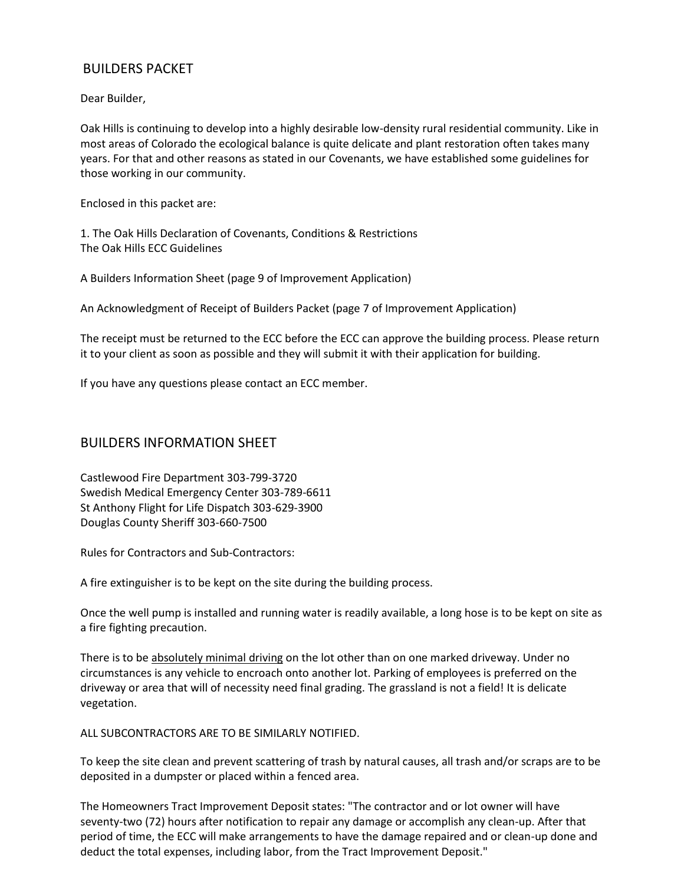## BUILDERS PACKET

Dear Builder,

Oak Hills is continuing to develop into a highly desirable low-density rural residential community. Like in most areas of Colorado the ecological balance is quite delicate and plant restoration often takes many years. For that and other reasons as stated in our Covenants, we have established some guidelines for those working in our community.

Enclosed in this packet are:

1. The Oak Hills Declaration of Covenants, Conditions & Restrictions The Oak Hills ECC Guidelines

A Builders Information Sheet (page 9 of Improvement Application)

An Acknowledgment of Receipt of Builders Packet (page 7 of Improvement Application)

The receipt must be returned to the ECC before the ECC can approve the building process. Please return it to your client as soon as possible and they will submit it with their application for building.

If you have any questions please contact an ECC member.

#### BUILDERS INFORMATION SHEET

Castlewood Fire Department 303-799-3720 Swedish Medical Emergency Center 303-789-6611 St Anthony Flight for Life Dispatch 303-629-3900 Douglas County Sheriff 303-660-7500

Rules for Contractors and Sub-Contractors:

A fire extinguisher is to be kept on the site during the building process.

Once the well pump is installed and running water is readily available, a long hose is to be kept on site as a fire fighting precaution.

There is to be absolutely minimal driving on the lot other than on one marked driveway. Under no circumstances is any vehicle to encroach onto another lot. Parking of employees is preferred on the driveway or area that will of necessity need final grading. The grassland is not a field! It is delicate vegetation.

ALL SUBCONTRACTORS ARE TO BE SIMILARLY NOTIFIED.

To keep the site clean and prevent scattering of trash by natural causes, all trash and/or scraps are to be deposited in a dumpster or placed within a fenced area.

The Homeowners Tract Improvement Deposit states: "The contractor and or lot owner will have seventy-two (72) hours after notification to repair any damage or accomplish any clean-up. After that period of time, the ECC will make arrangements to have the damage repaired and or clean-up done and deduct the total expenses, including labor, from the Tract Improvement Deposit."